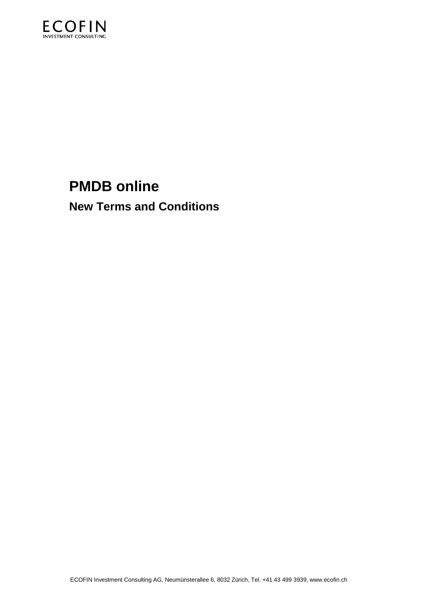

# **PMDB online**

**New Terms and Conditions**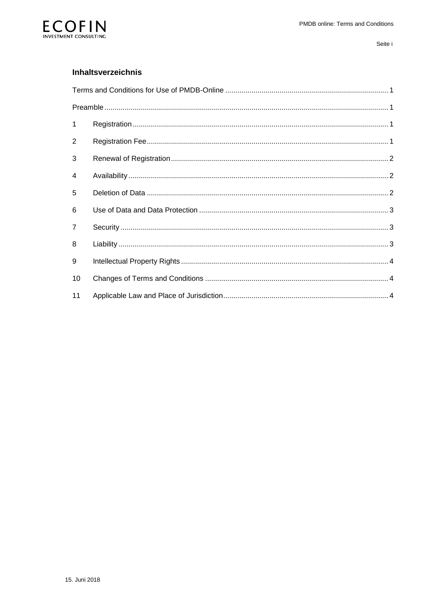

#### Inhaltsverzeichnis

| $\mathbf{1}$   |  |  |
|----------------|--|--|
| $\overline{2}$ |  |  |
| 3              |  |  |
| 4              |  |  |
| 5              |  |  |
| 6              |  |  |
| 7              |  |  |
| 8              |  |  |
| 9              |  |  |
| 10             |  |  |
| 11             |  |  |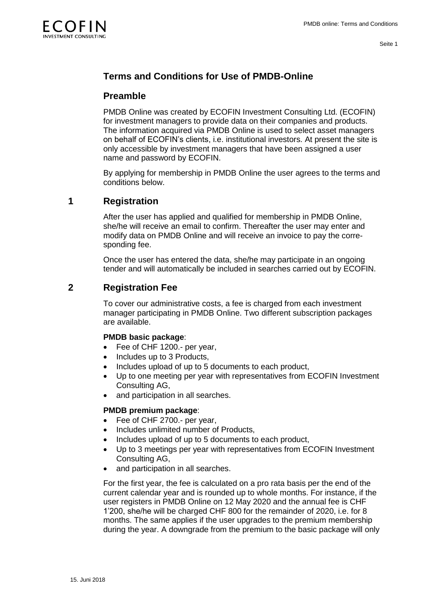

# <span id="page-2-0"></span>**Terms and Conditions for Use of PMDB-Online**

### <span id="page-2-1"></span>**Preamble**

PMDB Online was created by ECOFIN Investment Consulting Ltd. (ECOFIN) for investment managers to provide data on their companies and products. The information acquired via PMDB Online is used to select asset managers on behalf of ECOFIN's clients, i.e. institutional investors. At present the site is only accessible by investment managers that have been assigned a user name and password by ECOFIN.

<span id="page-2-2"></span>By applying for membership in PMDB Online the user agrees to the terms and conditions below.

# **1 Registration**

After the user has applied and qualified for membership in PMDB Online, she/he will receive an email to confirm. Thereafter the user may enter and modify data on PMDB Online and will receive an invoice to pay the corresponding fee.

<span id="page-2-3"></span>Once the user has entered the data, she/he may participate in an ongoing tender and will automatically be included in searches carried out by ECOFIN.

## **2 Registration Fee**

To cover our administrative costs, a fee is charged from each investment manager participating in PMDB Online. Two different subscription packages are available.

#### **PMDB basic package**:

- Fee of CHF 1200.- per year,
- Includes up to 3 Products.
- Includes upload of up to 5 documents to each product,
- Up to one meeting per year with representatives from ECOFIN Investment Consulting AG,
- and participation in all searches.

#### **PMDB premium package**:

- Fee of CHF 2700.- per year,
- Includes unlimited number of Products,
- Includes upload of up to 5 documents to each product,
- Up to 3 meetings per year with representatives from ECOFIN Investment Consulting AG,
- and participation in all searches.

For the first year, the fee is calculated on a pro rata basis per the end of the current calendar year and is rounded up to whole months. For instance, if the user registers in PMDB Online on 12 May 2020 and the annual fee is CHF 1'200, she/he will be charged CHF 800 for the remainder of 2020, i.e. for 8 months. The same applies if the user upgrades to the premium membership during the year. A downgrade from the premium to the basic package will only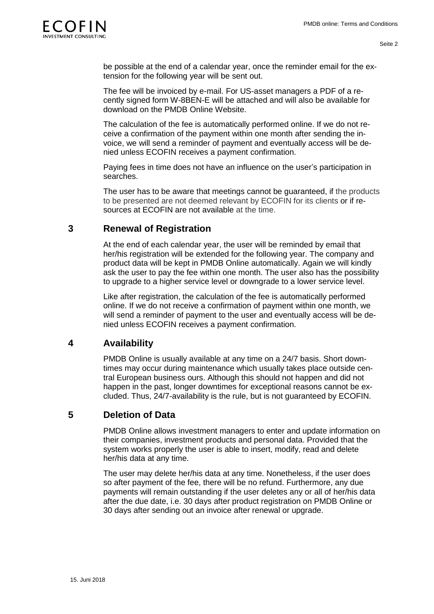

be possible at the end of a calendar year, once the reminder email for the extension for the following year will be sent out.

The fee will be invoiced by e-mail. For US-asset managers a PDF of a recently signed form W-8BEN-E will be attached and will also be available for download on the PMDB Online Website.

The calculation of the fee is automatically performed online. If we do not receive a confirmation of the payment within one month after sending the invoice, we will send a reminder of payment and eventually access will be denied unless ECOFIN receives a payment confirmation.

Paying fees in time does not have an influence on the user's participation in searches.

The user has to be aware that meetings cannot be guaranteed, if the products to be presented are not deemed relevant by ECOFIN for its clients or if resources at ECOFIN are not available at the time.

#### **3 Renewal of Registration**

<span id="page-3-0"></span>At the end of each calendar year, the user will be reminded by email that her/his registration will be extended for the following year. The company and product data will be kept in PMDB Online automatically. Again we will kindly ask the user to pay the fee within one month. The user also has the possibility to upgrade to a higher service level or downgrade to a lower service level.

Like after registration, the calculation of the fee is automatically performed online. If we do not receive a confirmation of payment within one month, we will send a reminder of payment to the user and eventually access will be denied unless ECOFIN receives a payment confirmation.

### **4 Availability**

<span id="page-3-1"></span>PMDB Online is usually available at any time on a 24/7 basis. Short downtimes may occur during maintenance which usually takes place outside central European business ours. Although this should not happen and did not happen in the past, longer downtimes for exceptional reasons cannot be excluded. Thus, 24/7-availability is the rule, but is not guaranteed by ECOFIN.

### **5 Deletion of Data**

<span id="page-3-2"></span>PMDB Online allows investment managers to enter and update information on their companies, investment products and personal data. Provided that the system works properly the user is able to insert, modify, read and delete her/his data at any time.

The user may delete her/his data at any time. Nonetheless, if the user does so after payment of the fee, there will be no refund. Furthermore, any due payments will remain outstanding if the user deletes any or all of her/his data after the due date, i.e. 30 days after product registration on PMDB Online or 30 days after sending out an invoice after renewal or upgrade.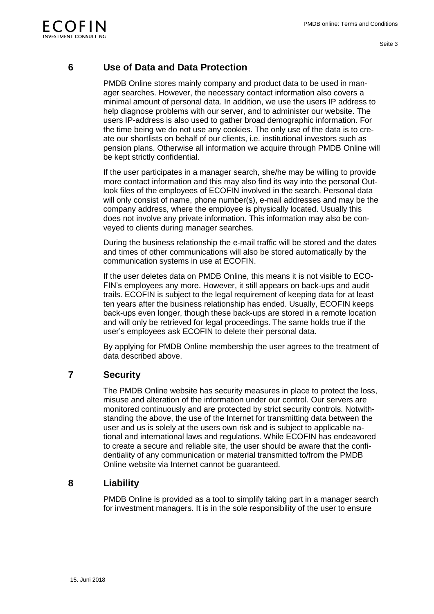

## **6 Use of Data and Data Protection**

<span id="page-4-0"></span>PMDB Online stores mainly company and product data to be used in manager searches. However, the necessary contact information also covers a minimal amount of personal data. In addition, we use the users IP address to help diagnose problems with our server, and to administer our website. The users IP-address is also used to gather broad demographic information. For the time being we do not use any cookies. The only use of the data is to create our shortlists on behalf of our clients, i.e. institutional investors such as pension plans. Otherwise all information we acquire through PMDB Online will be kept strictly confidential.

If the user participates in a manager search, she/he may be willing to provide more contact information and this may also find its way into the personal Outlook files of the employees of ECOFIN involved in the search. Personal data will only consist of name, phone number(s), e-mail addresses and may be the company address, where the employee is physically located. Usually this does not involve any private information. This information may also be conveyed to clients during manager searches.

During the business relationship the e-mail traffic will be stored and the dates and times of other communications will also be stored automatically by the communication systems in use at ECOFIN.

If the user deletes data on PMDB Online, this means it is not visible to ECO-FIN's employees any more. However, it still appears on back-ups and audit trails. ECOFIN is subject to the legal requirement of keeping data for at least ten years after the business relationship has ended. Usually, ECOFIN keeps back-ups even longer, though these back-ups are stored in a remote location and will only be retrieved for legal proceedings. The same holds true if the user's employees ask ECOFIN to delete their personal data.

<span id="page-4-1"></span>By applying for PMDB Online membership the user agrees to the treatment of data described above.

### **7 Security**

The PMDB Online website has security measures in place to protect the loss, misuse and alteration of the information under our control. Our servers are monitored continuously and are protected by strict security controls. Notwithstanding the above, the use of the Internet for transmitting data between the user and us is solely at the users own risk and is subject to applicable national and international laws and regulations. While ECOFIN has endeavored to create a secure and reliable site, the user should be aware that the confidentiality of any communication or material transmitted to/from the PMDB Online website via Internet cannot be guaranteed.

### **8 Liability**

<span id="page-4-2"></span>PMDB Online is provided as a tool to simplify taking part in a manager search for investment managers. It is in the sole responsibility of the user to ensure